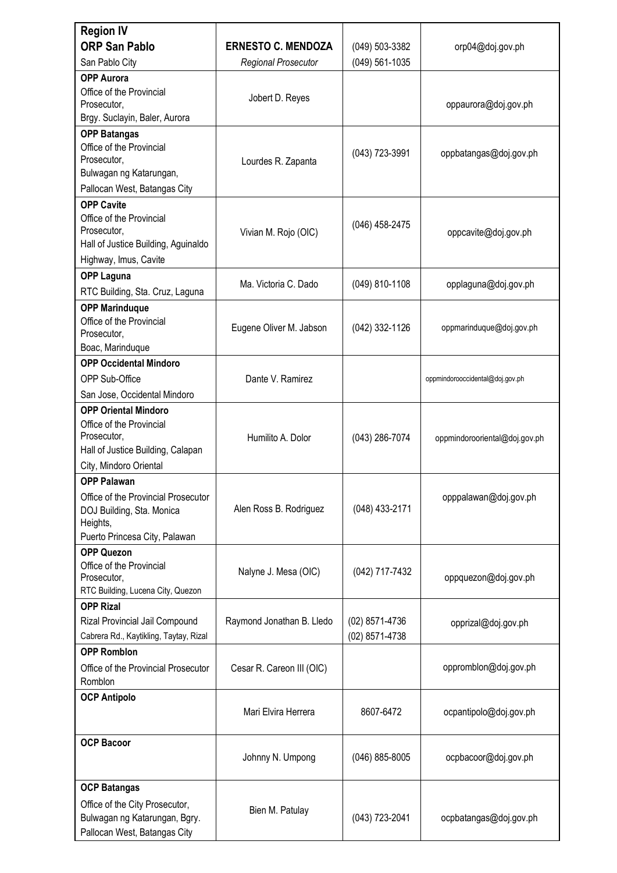| <b>Region IV</b><br><b>ORP San Pablo</b>                                                                      | <b>ERNESTO C. MENDOZA</b>  | (049) 503-3382                   | orp04@doj.gov.ph                |  |
|---------------------------------------------------------------------------------------------------------------|----------------------------|----------------------------------|---------------------------------|--|
| San Pablo City                                                                                                | <b>Regional Prosecutor</b> | (049) 561-1035                   |                                 |  |
| <b>OPP Aurora</b>                                                                                             |                            |                                  |                                 |  |
| Office of the Provincial<br>Prosecutor,<br>Brgy. Suclayin, Baler, Aurora                                      | Jobert D. Reyes            |                                  | oppaurora@doj.gov.ph            |  |
| <b>OPP Batangas</b>                                                                                           |                            |                                  |                                 |  |
| Office of the Provincial<br>Prosecutor,                                                                       | Lourdes R. Zapanta         | $(043)$ 723-3991                 | oppbatangas@doj.gov.ph          |  |
| Bulwagan ng Katarungan,<br>Pallocan West, Batangas City                                                       |                            |                                  |                                 |  |
| <b>OPP Cavite</b>                                                                                             |                            |                                  |                                 |  |
| Office of the Provincial<br>Prosecutor,<br>Hall of Justice Building, Aguinaldo                                | Vivian M. Rojo (OIC)       | (046) 458-2475                   | oppcavite@doj.gov.ph            |  |
| Highway, Imus, Cavite                                                                                         |                            |                                  |                                 |  |
| <b>OPP Laguna</b>                                                                                             |                            |                                  |                                 |  |
| RTC Building, Sta. Cruz, Laguna                                                                               | Ma. Victoria C. Dado       | (049) 810-1108                   | opplaguna@doj.gov.ph            |  |
| <b>OPP Marinduque</b>                                                                                         |                            |                                  |                                 |  |
| Office of the Provincial<br>Prosecutor,<br>Boac, Marinduque                                                   | Eugene Oliver M. Jabson    | (042) 332-1126                   | oppmarinduque@doj.gov.ph        |  |
| <b>OPP Occidental Mindoro</b>                                                                                 |                            |                                  |                                 |  |
| OPP Sub-Office                                                                                                | Dante V. Ramirez           |                                  | oppmindorooccidental@doj.gov.ph |  |
| San Jose, Occidental Mindoro                                                                                  |                            |                                  |                                 |  |
| <b>OPP Oriental Mindoro</b>                                                                                   |                            |                                  |                                 |  |
| Office of the Provincial<br>Prosecutor,<br>Hall of Justice Building, Calapan                                  | Humilito A. Dolor          | (043) 286-7074                   | oppmindorooriental@doj.gov.ph   |  |
| City, Mindoro Oriental                                                                                        |                            |                                  |                                 |  |
| <b>OPP Palawan</b>                                                                                            |                            |                                  |                                 |  |
| Office of the Provincial Prosecutor<br>DOJ Building, Sta. Monica<br>Heights,<br>Puerto Princesa City, Palawan | Alen Ross B. Rodriguez     | (048) 433-2171                   | opppalawan@doj.gov.ph           |  |
| <b>OPP Quezon</b>                                                                                             |                            |                                  |                                 |  |
| Office of the Provincial<br>Prosecutor,<br>RTC Building, Lucena City, Quezon                                  | Nalyne J. Mesa (OIC)       | (042) 717-7432                   | oppquezon@doj.gov.ph            |  |
| <b>OPP Rizal</b>                                                                                              |                            |                                  |                                 |  |
| Rizal Provincial Jail Compound<br>Cabrera Rd., Kaytikling, Taytay, Rizal                                      | Raymond Jonathan B. Lledo  | (02) 8571-4736<br>(02) 8571-4738 | opprizal@doj.gov.ph             |  |
| <b>OPP Romblon</b>                                                                                            |                            |                                  |                                 |  |
| Office of the Provincial Prosecutor                                                                           | Cesar R. Careon III (OIC)  |                                  | oppromblon@doj.gov.ph           |  |
| Romblon                                                                                                       |                            |                                  |                                 |  |
| <b>OCP Antipolo</b>                                                                                           | Mari Elvira Herrera        | 8607-6472                        | ocpantipolo@doj.gov.ph          |  |
| <b>OCP Bacoor</b>                                                                                             |                            |                                  |                                 |  |
|                                                                                                               | Johnny N. Umpong           | $(046)$ 885-8005                 | ocpbacoor@doj.gov.ph            |  |
| <b>OCP Batangas</b>                                                                                           |                            |                                  |                                 |  |
| Office of the City Prosecutor,<br>Bulwagan ng Katarungan, Bgry.<br>Pallocan West, Batangas City               | Bien M. Patulay            | (043) 723-2041                   | ocpbatangas@doj.gov.ph          |  |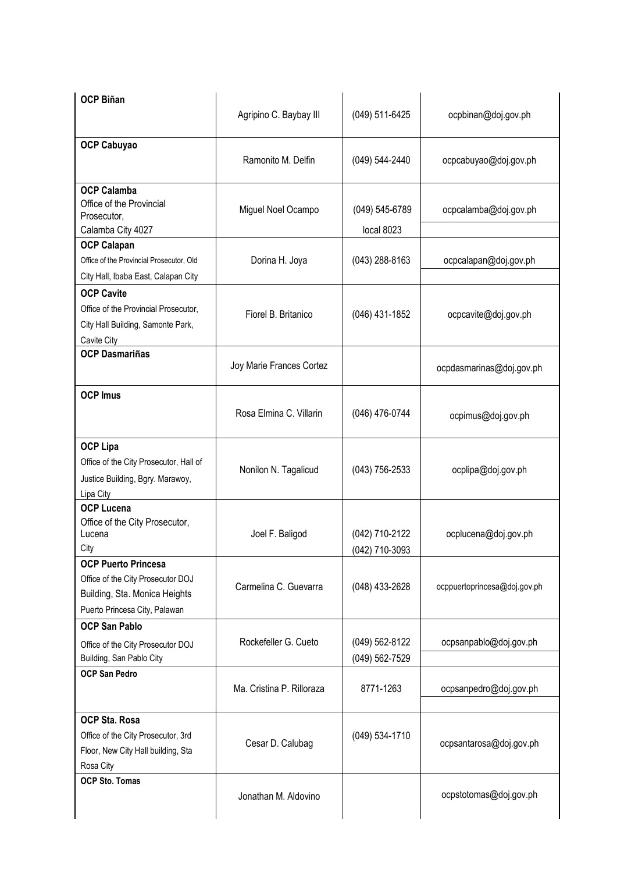| <b>OCP Biñan</b>                                                                                                                  | Agripino C. Baybay III    | (049) 511-6425                   | ocpbinan@doj.gov.ph          |
|-----------------------------------------------------------------------------------------------------------------------------------|---------------------------|----------------------------------|------------------------------|
| <b>OCP Cabuyao</b>                                                                                                                | Ramonito M. Delfin        | (049) 544-2440                   | ocpcabuyao@doj.gov.ph        |
| <b>OCP Calamba</b><br>Office of the Provincial<br>Prosecutor,<br>Calamba City 4027                                                | Miguel Noel Ocampo        | (049) 545-6789<br>local 8023     | ocpcalamba@doj.gov.ph        |
| <b>OCP Calapan</b><br>Office of the Provincial Prosecutor, Old<br>City Hall, Ibaba East, Calapan City                             | Dorina H. Joya            | $(043)$ 288-8163                 | ocpcalapan@doj.gov.ph        |
| <b>OCP Cavite</b><br>Office of the Provincial Prosecutor,<br>City Hall Building, Samonte Park,<br>Cavite City                     | Fiorel B. Britanico       | (046) 431-1852                   | ocpcavite@doj.gov.ph         |
| <b>OCP Dasmariñas</b>                                                                                                             | Joy Marie Frances Cortez  |                                  | ocpdasmarinas@doj.gov.ph     |
| <b>OCP Imus</b>                                                                                                                   | Rosa Elmina C. Villarin   | (046) 476-0744                   | ocpimus@doj.gov.ph           |
| <b>OCP Lipa</b><br>Office of the City Prosecutor, Hall of<br>Justice Building, Bgry. Marawoy,<br>Lipa City                        | Nonilon N. Tagalicud      | $(043)$ 756-2533                 | ocplipa@doj.gov.ph           |
| <b>OCP Lucena</b><br>Office of the City Prosecutor,<br>Lucena<br>City                                                             | Joel F. Baligod           | (042) 710-2122<br>(042) 710-3093 | ocplucena@doj.gov.ph         |
| <b>OCP Puerto Princesa</b><br>Office of the City Prosecutor DOJ<br>Building, Sta. Monica Heights<br>Puerto Princesa City, Palawan | Carmelina C. Guevarra     | (048) 433-2628                   | ocppuertoprincesa@doj.gov.ph |
| <b>OCP San Pablo</b><br>Office of the City Prosecutor DOJ<br>Building, San Pablo City                                             | Rockefeller G. Cueto      | (049) 562-8122<br>(049) 562-7529 | ocpsanpablo@doj.gov.ph       |
| <b>OCP San Pedro</b>                                                                                                              | Ma. Cristina P. Rilloraza | 8771-1263                        | ocpsanpedro@doj.gov.ph       |
| <b>OCP Sta. Rosa</b><br>Office of the City Prosecutor, 3rd<br>Floor, New City Hall building, Sta<br>Rosa City                     | Cesar D. Calubag          | (049) 534-1710                   | ocpsantarosa@doj.gov.ph      |
| <b>OCP Sto. Tomas</b>                                                                                                             | Jonathan M. Aldovino      |                                  | ocpstotomas@doj.gov.ph       |